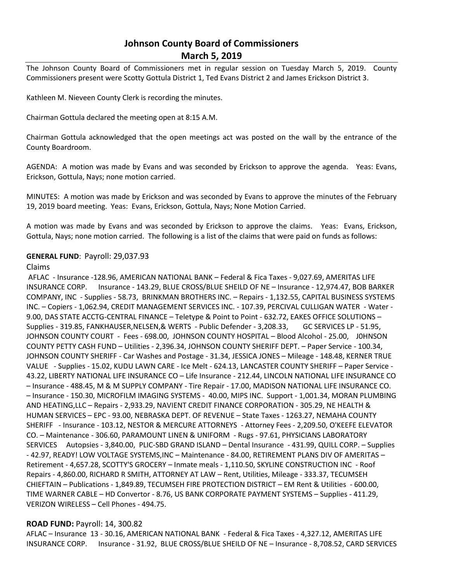# **Johnson County Board of Commissioners March 5, 2019**

The Johnson County Board of Commissioners met in regular session on Tuesday March 5, 2019. County Commissioners present were Scotty Gottula District 1, Ted Evans District 2 and James Erickson District 3.

Kathleen M. Nieveen County Clerk is recording the minutes.

Chairman Gottula declared the meeting open at 8:15 A.M.

Chairman Gottula acknowledged that the open meetings act was posted on the wall by the entrance of the County Boardroom.

AGENDA: A motion was made by Evans and was seconded by Erickson to approve the agenda. Yeas: Evans, Erickson, Gottula, Nays; none motion carried.

MINUTES: A motion was made by Erickson and was seconded by Evans to approve the minutes of the February 19, 2019 board meeting. Yeas: Evans, Erickson, Gottula, Nays; None Motion Carried.

A motion was made by Evans and was seconded by Erickson to approve the claims. Yeas: Evans, Erickson, Gottula, Nays; none motion carried. The following is a list of the claims that were paid on funds as follows:

## **GENERAL FUND**: Payroll: 29,037.93

## Claims

AFLAC - Insurance -128.96, AMERICAN NATIONAL BANK – Federal & Fica Taxes - 9,027.69, AMERITAS LIFE INSURANCE CORP. Insurance - 143.29, BLUE CROSS/BLUE SHEILD OF NE – Insurance - 12,974.47, BOB BARKER COMPANY, INC - Supplies - 58.73, BRINKMAN BROTHERS INC. – Repairs - 1,132.55, CAPITAL BUSINESS SYSTEMS INC. – Copiers - 1,062.94, CREDIT MANAGEMENT SERVICES INC. - 107.39, PERCIVAL CULLIGAN WATER - Water - 9.00, DAS STATE ACCTG-CENTRAL FINANCE – Teletype & Point to Point - 632.72, EAKES OFFICE SOLUTIONS – Supplies - 319.85, FANKHAUSER,NELSEN,& WERTS - Public Defender - 3,208.33, GC SERVICES LP - 51.95, JOHNSON COUNTY COURT - Fees - 698.00, JOHNSON COUNTY HOSPITAL – Blood Alcohol - 25.00, J0HNSON COUNTY PETTY CASH FUND – Utilities - 2,396.34, JOHNSON COUNTY SHERIFF DEPT. – Paper Service - 100.34, JOHNSON COUNTY SHERIFF - Car Washes and Postage - 31.34, JESSICA JONES – Mileage - 148.48, KERNER TRUE VALUE - Supplies - 15.02, KUDU LAWN CARE - Ice Melt - 624.13, LANCASTER COUNTY SHERIFF – Paper Service - 43.22, LIBERTY NATIONAL LIFE INSURANCE CO – Life Insurance - 212.44, LINCOLN NATIONAL LIFE INSURANCE CO – Insurance - 488.45, M & M SUPPLY COMPANY - Tire Repair - 17.00, MADISON NATIONAL LIFE INSURANCE CO. – Insurance - 150.30, MICROFILM IMAGING SYSTEMS - 40.00, MIPS INC. Support - 1,001.34, MORAN PLUMBING AND HEATING,LLC – Repairs - 2,933.29, NAVIENT CREDIT FINANCE CORPORATION - 305.29, NE HEALTH & HUMAN SERVICES – EPC - 93.00, NEBRASKA DEPT. OF REVENUE – State Taxes - 1263.27, NEMAHA COUNTY SHERIFF - Insurance - 103.12, NESTOR & MERCURE ATTORNEYS - Attorney Fees - 2,209.50, O'KEEFE ELEVATOR CO. – Maintenance - 306.60, PARAMOUNT LINEN & UNIFORM - Rugs - 97.61, PHYSICIANS LABORATORY SERVICES Autopsies - 3,840.00, PLIC-SBD GRAND ISLAND – Dental Insurance - 431.99, QUILL CORP. – Supplies - 42.97, READY! LOW VOLTAGE SYSTEMS,INC – Maintenance - 84.00, RETIREMENT PLANS DIV OF AMERITAS – Retirement - 4,657.28, SCOTTY'S GROCERY – Inmate meals - 1,110.50, SKYLINE CONSTRUCTION INC - Roof Repairs - 4,860.00, RICHARD R SMITH, ATTORNEY AT LAW – Rent, Utilities, Mileage - 333.37, TECUMSEH CHIEFTAIN – Publications - 1,849.89, TECUMSEH FIRE PROTECTION DISTRICT – EM Rent & Utilities - 600.00, TIME WARNER CABLE – HD Convertor - 8.76, US BANK CORPORATE PAYMENT SYSTEMS – Supplies - 411.29, VERIZON WIRELESS – Cell Phones - 494.75.

# **ROAD FUND:** Payroll: 14, 300.82

AFLAC – Insurance 13 - 30.16, AMERICAN NATIONAL BANK - Federal & Fica Taxes - 4,327.12, AMERITAS LIFE INSURANCE CORP. Insurance - 31.92, BLUE CROSS/BLUE SHEILD OF NE – Insurance - 8,708.52, CARD SERVICES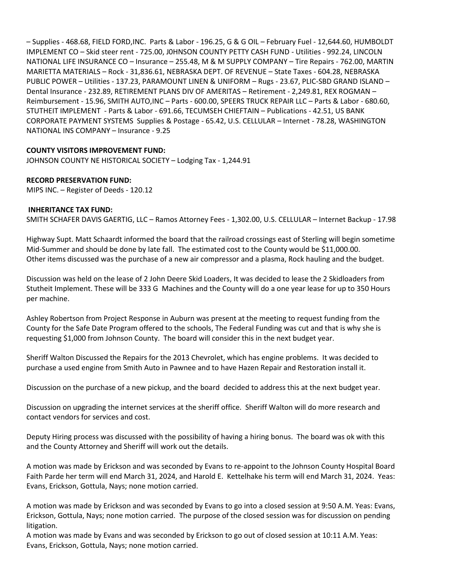– Supplies - 468.68, FIELD FORD,INC. Parts & Labor - 196.25, G & G OIL – February Fuel - 12,644.60, HUMBOLDT IMPLEMENT CO – Skid steer rent - 725.00, J0HNSON COUNTY PETTY CASH FUND - Utilities - 992.24, LINCOLN NATIONAL LIFE INSURANCE CO – Insurance – 255.48, M & M SUPPLY COMPANY – Tire Repairs - 762.00, MARTIN MARIETTA MATERIALS – Rock - 31,836.61, NEBRASKA DEPT. OF REVENUE – State Taxes - 604.28, NEBRASKA PUBLIC POWER – Utilities - 137.23, PARAMOUNT LINEN & UNIFORM – Rugs - 23.67, PLIC-SBD GRAND ISLAND – Dental Insurance - 232.89, RETIREMENT PLANS DIV OF AMERITAS – Retirement - 2,249.81, REX ROGMAN – Reimbursement - 15.96, SMITH AUTO,INC – Parts - 600.00, SPEERS TRUCK REPAIR LLC – Parts & Labor - 680.60, STUTHEIT IMPLEMENT - Parts & Labor - 691.66, TECUMSEH CHIEFTAIN – Publications - 42.51, US BANK CORPORATE PAYMENT SYSTEMS Supplies & Postage - 65.42, U.S. CELLULAR – Internet - 78.28, WASHINGTON NATIONAL INS COMPANY – Insurance - 9.25

# **COUNTY VISITORS IMPROVEMENT FUND:**

JOHNSON COUNTY NE HISTORICAL SOCIETY – Lodging Tax - 1,244.91

#### **RECORD PRESERVATION FUND:**

MIPS INC. – Register of Deeds - 120.12

#### **INHERITANCE TAX FUND:**

SMITH SCHAFER DAVIS GAERTIG, LLC – Ramos Attorney Fees - 1,302.00, U.S. CELLULAR – Internet Backup - 17.98

Highway Supt. Matt Schaardt informed the board that the railroad crossings east of Sterling will begin sometime Mid-Summer and should be done by late fall. The estimated cost to the County would be \$11,000.00. Other items discussed was the purchase of a new air compressor and a plasma, Rock hauling and the budget.

Discussion was held on the lease of 2 John Deere Skid Loaders, It was decided to lease the 2 Skidloaders from Stutheit Implement. These will be 333 G Machines and the County will do a one year lease for up to 350 Hours per machine.

Ashley Robertson from Project Response in Auburn was present at the meeting to request funding from the County for the Safe Date Program offered to the schools, The Federal Funding was cut and that is why she is requesting \$1,000 from Johnson County. The board will consider this in the next budget year.

Sheriff Walton Discussed the Repairs for the 2013 Chevrolet, which has engine problems. It was decided to purchase a used engine from Smith Auto in Pawnee and to have Hazen Repair and Restoration install it.

Discussion on the purchase of a new pickup, and the board decided to address this at the next budget year.

Discussion on upgrading the internet services at the sheriff office. Sheriff Walton will do more research and contact vendors for services and cost.

Deputy Hiring process was discussed with the possibility of having a hiring bonus. The board was ok with this and the County Attorney and Sheriff will work out the details.

A motion was made by Erickson and was seconded by Evans to re-appoint to the Johnson County Hospital Board Faith Parde her term will end March 31, 2024, and Harold E. Kettelhake his term will end March 31, 2024. Yeas: Evans, Erickson, Gottula, Nays; none motion carried.

A motion was made by Erickson and was seconded by Evans to go into a closed session at 9:50 A.M. Yeas: Evans, Erickson, Gottula, Nays; none motion carried. The purpose of the closed session was for discussion on pending litigation.

A motion was made by Evans and was seconded by Erickson to go out of closed session at 10:11 A.M. Yeas: Evans, Erickson, Gottula, Nays; none motion carried.